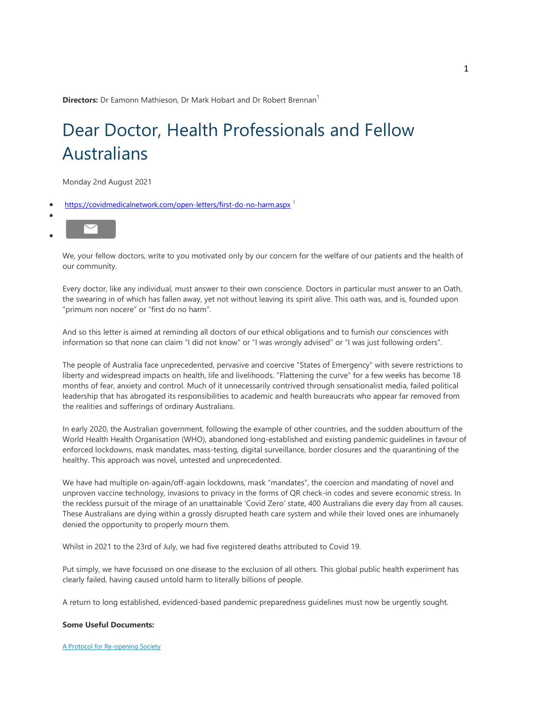**Directors:** Dr Eamonn Mathieson, Dr Mark Hobart and Dr Robert Brennan<sup>1</sup>

# Dear Doctor, Health Professionals and Fellow<br>Australians<br>Monday 2nd August 2021<br>https://covidmedicalnetwork.com/open-letters/first-do-no-harm.aspx <sup>1</sup> Australians

Monday 2nd August 2021

- [https://covidmed](mailto:?subject=FROM YOUR FELLOW AUSTRALIAN DOCTORS  A return to long established, evidenced-based pandemic preparedness guidelines must now be urgently sought.)icalnetwork.com/open-letters/first-do-no-harm.aspx<sup>1</sup>
- $\bullet$  $\bullet$

We, your fellow doctors, write to you motivated only by our concern for the welfare of our patients and the health of our community. We, your fellow doctors, write to you motivated only by our concern for the welfare of our patients and the health of<br>our community.<br>Every doctor, like any individual, must answer to their own conscience. Doctors in partic

the swearing in of which has fallen away, yet not without leaving its spirit alive. This oath was, and is, founded upon "primum non nocere" or "first do no harm".

And so this letter is aimed at reminding all doctors of our ethical obligations and to furnish our consciences with information so that none can claim "I did not know" or "I was wrongly advised" or "I was just following orders". or "first do no harm".<br>med at reminding all doctors of our ethical obligations and to furnish our consciences with<br>me can claim "I did not know" or "I was wrongly advised" or "I was just following orders".<br>a face unprecede

The people of Australia face unprecedented, pervasive and coercive "States of Emergency" with severe restrictions to liberty and widespread impacts on health, life and livelihoods. "Flattening the curve" for a few weeks has become 18 liberty and widespread impacts on health, life and livelihoods. "Flattening the curve" for a few weeks has become 18<br>months of fear, anxiety and control. Much of it unnecessarily contrived through sensationalist media, fai leadership that has abrogated its responsibilities to academic and health bureaucrats who appear far removed from the realities and sufferings of ordinary Australians. doctors, write to you motivated only by our concern for the welfare of our patients and the<br>e any individual, must answer to their own conscience. Doctors in particular must answer to<br>of which has fallen away, yet not with

In early 2020, the Australian government, following the example of other countries, and the sudden aboutturn of the World Health Health Organisation (WHO), abandoned long-established and existing pandemic guidelines in favour of enforced lockdowns, mask mandates, mass-testing, digital surveillance, border closures and the quarantining of the healthy. This approach was novel, untested and unprecedented.

We have had multiple on-again/off-again lockdowns, mask "mandates", the coercion and mandating of novel and healthy. This approach was novel, untested and unprecedented.<br>We have had multiple on-again/off-again lockdowns, mask "mandates", the coercion and mandating of novel and<br>unproven vaccine technology, invasions to privacy in the reckless pursuit of the mirage of an unattainable 'Covid Zero' state, 400 Australians die every day from all causes. the reckless pursuit of the mirage of an unattainable 'Covid Zero' state, 400 Australians die every day from all causes<br>These Australians are dying within a grossly disrupted heath care system and while their loved ones ar denied the opportunity to properly mourn them.

Whilst in 2021 to the 23rd of July, we had five registered deaths attributed to Covid 19.

Put simply, we have focussed on one disease to the exclusion of all others. This global public health experiment has clearly failed, having caused untold harm to literally billions of people.

A return to long established, evidenced-based pandemic preparedness guidelines must now be urgently sought.

#### **[Some Useful Docum](https://www.pandata.org/protocol-for-reopening-society/)ents:**

A Protocol for Re-opening Society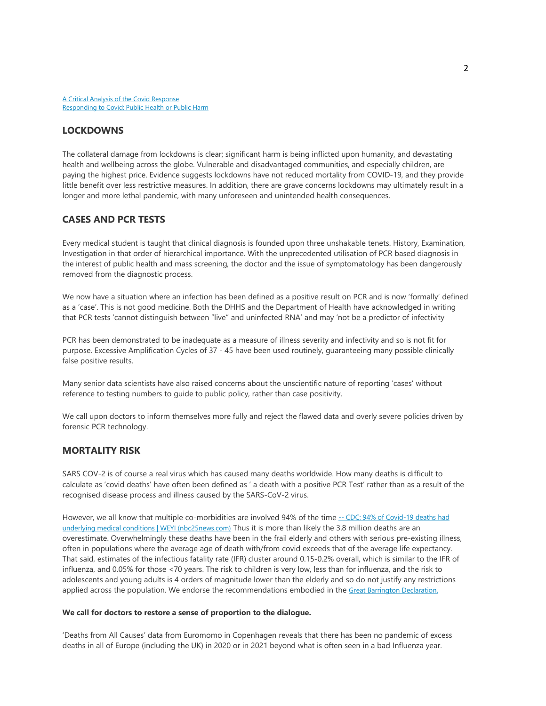## **LOCKDOWNS**

The collateral damage from lockdowns is clear; significant harm is being inflicted upon humanity, and devastating health and wellbeing across the globe. Vulnerable and disadvantaged communities, and especially children, are paying the highest price. Evidence suggests lockdowns have not reduced mortality from COVID-19, and they provide little benefit over less restrictive measures. In addition, there are grave concerns lockdowns may ultimately result in a longer and more lethal pandemic, with many unforeseen and unintended health consequences.

## **CASES AND PCR TESTS**

Every medical student is taught that clinical diagnosis is founded upon three unshakable tenets. History, Examination, Investigation in that order of hierarchical importance. With the unprecedented utilisation of PCR based diagnosis in the interest of public health and mass screening, the doctor and the issue of symptomatology has been dangerously removed from the diagnostic process.

We now have a situation where an infection has been defined as a positive result on PCR and is now 'formally' defined as a 'case'. This is not good medicine. Both the DHHS and the Department of Health have acknowledged in writing that PCR tests 'cannot distinguish between "live" and uninfected RNA' and may 'not be a predictor of infectivity

PCR has been demonstrated to be inadequate as a measure of illness severity and infectivity and so is not fit for purpose. Excessive Amplification Cycles of 37 - 45 have been used routinely, guaranteeing many possible clinically false positive results.

Many senior data scientists have also raised concerns about the unscientific nature of reporting 'cases' without reference to testing numbers to guide to public policy, rather than case positivity.

We call upon doctors to inform themselves more fully and reject the flawed data and overly severe policies driven by forensic PCR technology.

# **MORTALITY RISK**

SARS COV-2 is of course a real virus which has caused many deaths worldwide. How many deaths is difficult to calculate as 'covid deaths' have often been defined as ' a death with a positive PCR Test' rather than as a result of the recognised disease process and illness caused by the SARS-CoV-2 virus.

[However, we all know that multiple co](https://nbc25news.com/news/local/cdc-94-of-covid-19-deaths-had-underlying-medical-conditions)-morbidities are involved 94% of the time -- CDC: 94% of Covid-19 deaths had underlying medical conditions | WEYI (nbc25news.com) Thus it is more than likely the 3.8 million deaths are an overestimate. Overwhelmingly these deaths have been in the frail elderly and others with serious pre-existing illness, often in populations where the average age of death with/from covid exceeds that of the average life expectancy. That said, estimates of the infectious fatality rate (IFR) cluster around 0.15-0.2% overall, which is similar to the IFR of influenza, and 0.05% for those <70 years. The risk to children is very low, less than for influenza, and the risk to adolescents and young adults is 4 orders of magnitude lower than the elderly and so [do not justify any re](https://www.aflsolicitors.com.au/)strictions applied across the population. We endorse the recommendations embodied in the Great Barrington Declaration.

#### **We call for doctors to restore a sense of proportion to the dialogue.**

'Deaths from All Causes' data from Euromomo in Copenhagen reveals that there has been no pandemic of excess deaths in all of Europe (including the UK) in 2020 or in 2021 beyond what is often seen in a bad Influenza year.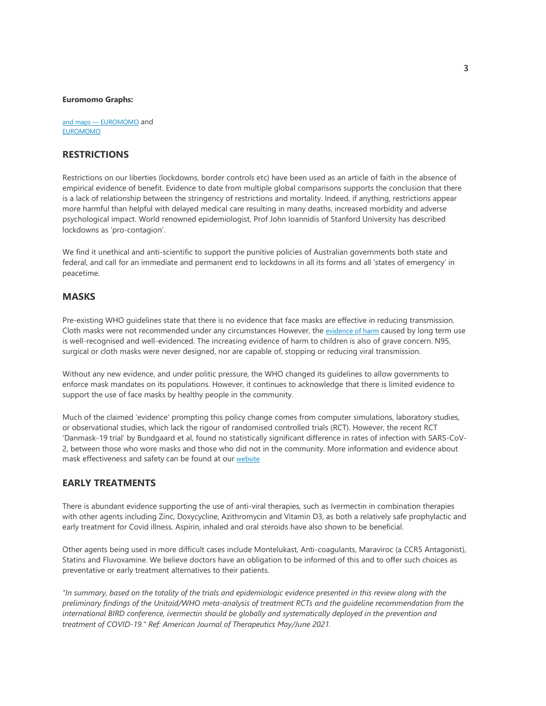#### **[Euromom](https://euromomo.eu/)o Graphs:**

and maps — EUROMOMO and EUROMOMO

# **RESTRICTIONS**

Restrictions on our liberties (lockdowns, border controls etc) have been used as an article of faith in the absence of empirical evidence of benefit. Evidence to date from multiple global comparisons supports the conclusion that there is a lack of relationship between the stringency of restrictions and mortality. Indeed, if anything, restrictions appear more harmful than helpful with delayed medical care resulting in many deaths, increased morbidity and adverse psychological impact. World renowned epidemiologist, Prof John Ioannidis of Stanford University has described lockdowns as 'pro-contagion'.

We find it unethical and anti-scientific to support the punitive policies of Australian governments both state and federal, and call for an immediate and permanent end to lockdowns in all its forms and all 'states of emergency' in peacetime.

#### **MASKS**

Pre-existing WHO guidelines state that there is no evidence that face masks are effective in reducing transmission. Cloth masks were not recommended under any circumstances However, the evidence of harm caused by long term use is well-recognised and well-evidenced. The increasing evidence of harm to children is also of grave concern. N95, surgical or cloth masks were never designed, nor are capable of, stopping or reducing viral transmission.

Without any new evidence, and under politic pressure, the WHO changed its guidelines to allow governments to enforce mask mandates on its populations. However, it continues to acknowledge that there is limited evidence to support the use of face masks by healthy people in the community.

Much of the claimed 'evidence' prompting this policy change comes from computer simulations, laboratory studies, or observational studies, which lack the rigour of randomised controlled trials (RCT). However, the recent RCT 'Danmask-19 trial' by Bundgaard et al, found no sta[tistical](https://www.covidmedicalnetwork.com/coronavirus-facts/masks/overview.aspx)ly significant difference in rates of infection with SARS-CoV-2, between those who wore masks and those who did not in the community. More information and evidence about mask effectiveness and safety can be found at our website

## **EARLY TREATMENTS**

There is abundant evidence supporting the use of anti-viral therapies, such as Ivermectin in combination therapies with other agents including Zinc, Doxycycline, Azithromycin and Vitamin D3, as both a relatively safe prophylactic and early treatment for Covid illness. Aspirin, inhaled and oral steroids have also shown to be beneficial.

Other agents being used in more difficult cases include Montelukast, Anti-coagulants, Maraviroc (a CCR5 Antagonist), Statins and Fluvoxamine. We believe doctors have an obligation to be informed of this and to offer such choices as preventative or early treatment alternatives to their patients.

*"In summary, based on the totality of the trials and epidemiologic evidence presented in this review along with the preliminary findings of the Unitaid/WHO meta-analysis of treatment RCTs and the guideline recommendation from the international BIRD conference, ivermectin should be globally and systematically deployed in the prevention and treatment of COVID-19." Ref: American Journal of Therapeutics May/June 2021.*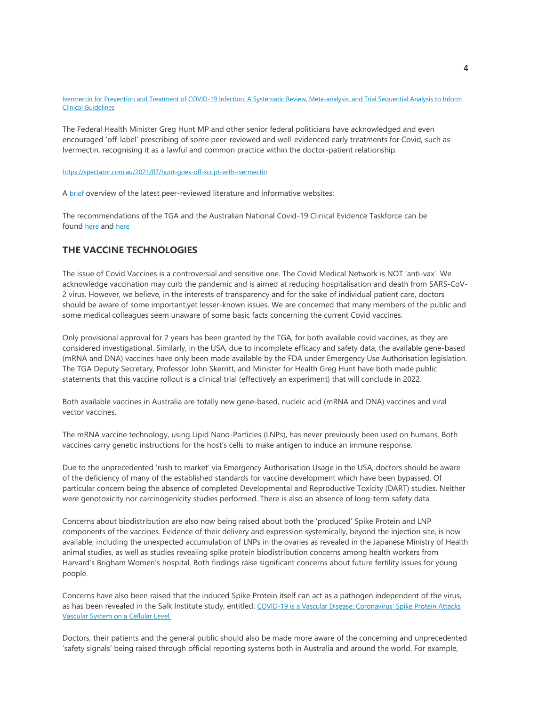Ivermectin for Prevention and Treatment of COVID-19 Infection: A Systematic Review, Meta-analysis, and Trial Sequential Analysis to Inform Clinical Guidelines

The Federal Health Minister Greg Hunt MP and other senior federal politicians have acknowledged and even [encouraged 'off-label' prescribing of some p](https://spectator.com.au/2021/07/hunt-goes-off-script-with-ivermectin)eer-reviewed and well-evidenced early treatments for Covid, such as Iv[erm](https://www.covidmedicalnetwork.com/Summary-Covid-Early-Treatments.pdf)ectin, recognising it as a lawful and common practice within the doctor-patient relationship.

https://spectator.com.au/2021/07/hunt-goes-off-script-with-ivermectin

A brief [ove](https://www.tga.gov.au/collection/covid-19)rview [of t](https://covid19evidence.net.au/)he latest peer-reviewed literature and informative websites:

The recommendations of the TGA and the Australian National Covid-19 Clinical Evidence Taskforce can be found here and here

## **THE VACCINE TECHNOLOGIES**

The issue of Covid Vaccines is a controversial and sensitive one. The Covid Medical Network is NOT 'anti-vax'. We acknowledge vaccination may curb the pandemic and is aimed at reducing hospitalisation and death from SARS-CoV-2 virus. However, we believe, in the interests of transparency and for the sake of individual patient care, doctors should be aware of some important,yet lesser-known issues. We are concerned that many members of the public and some medical colleagues seem unaware of some basic facts concerning the current Covid vaccines.

Only provisional approval for 2 years has been granted by the TGA, for both available covid vaccines, as they are considered investigational. Similarly, in the USA, due to incomplete efficacy and safety data, the available gene-based (mRNA and DNA) vaccines have only been made available by the FDA under Emergency Use Authorisation legislation. The TGA Deputy Secretary, Professor John Skerritt, and Minister for Health Greg Hunt have both made public statements that this vaccine rollout is a clinical trial (effectively an experiment) that will conclude in 2022.

Both available vaccines in Australia are totally new gene-based, nucleic acid (mRNA and DNA) vaccines and viral vector vaccines.

The mRNA vaccine technology, using Lipid Nano-Particles (LNPs), has never previously been used on humans. Both vaccines carry genetic instructions for the host's cells to make antigen to induce an immune response.

Due to the unprecedented 'rush to market' via Emergency Authorisation Usage in the USA, doctors should be aware of the deficiency of many of the established standards for vaccine development which have been bypassed. Of particular concern being the absence of completed Developmental and Reproductive Toxicity (DART) studies. Neither were genotoxicity nor carcinogenicity studies performed. There is also an absence of long-term safety data.

Concerns about biodistribution are also now being raised about both the 'produced' Spike Protein and LNP components of the vaccines. Evidence of their delivery and expression systemically, beyond the injection site, is now available, including the unexpected accumulation of LNPs in the ovaries as revealed in the Japanese Ministry of Health animal studies, as well as studies revealing spike protein biodistribution concerns among health workers from Harvard's Brigham Women's hospital. Both findings raise significant concerns about future fertility issues for young people.

Concerns have also been raised that the induced Spike Pr[otein itself can act as a pathogen independen](https://scitechdaily.com/covid-19-is-a-vascular-disease-coronavirus-spike-protein-attacks-vascular-system-on-a-cellular-level/)t of the virus, [as has been revealed in](https://scitechdaily.com/covid-19-is-a-vascular-disease-coronavirus-spike-protein-attacks-vascular-system-on-a-cellular-level/) the Salk Institute study, entitled: COVID-19 is a Vascular Disease: Coronavirus' Spike Protein Attacks Vascular System on a Cellular Level.

Doctors, their patients and the general public should also be made more aware of the concerning and unprecedented 'safety signals' being raised through official reporting systems both in Australia and around the world. For example,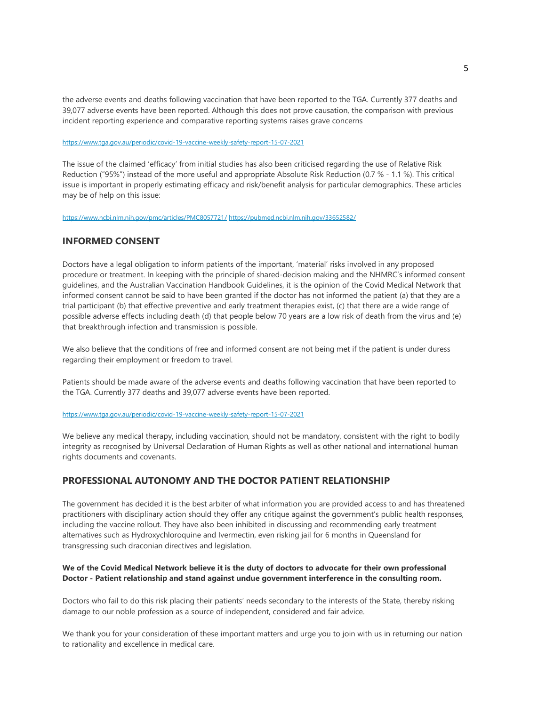the adverse events and deaths following vaccination that have been reported to the TGA. Currently 377 deaths and [39,077 adverse events have been reported. Althoug](https://www.tga.gov.au/periodic/covid-19-vaccine-weekly-safety-report-15-07-2021)h this does not prove causation, the comparison with previous incident reporting experience and comparative reporting systems raises grave concerns

#### https://www.tga.gov.au/periodic/covid-19-vaccine-weekly-safety-report-15-07-2021

The issue of the claimed 'efficacy' from initial studies has also been criticised regarding the use of Relative Risk Reduction ("95%") instead of the more useful and appropriate Absolute Risk Reduction (0.7 % - 1.1 %). This critical [issue is important in properly estim](https://www.ncbi.nlm.nih.gov/pmc/articles/PMC8057721/)ating efficacy [and risk/benefit analysis for](https://pubmed.ncbi.nlm.nih.gov/33652582/) particular demographics. These articles may be of help on this issue:

https://www.ncbi.nlm.nih.gov/pmc/articles/PMC8057721/ https://pubmed.ncbi.nlm.nih.gov/33652582/

## **INFORMED CONSENT**

Doctors have a legal obligation to inform patients of the important, 'material' risks involved in any proposed procedure or treatment. In keeping with the principle of shared-decision making and the NHMRC's informed consent guidelines, and the Australian Vaccination Handbook Guidelines, it is the opinion of the Covid Medical Network that informed consent cannot be said to have been granted if the doctor has not informed the patient (a) that they are a trial participant (b) that effective preventive and early treatment therapies exist, (c) that there are a wide range of possible adverse effects including death (d) that people below 70 years are a low risk of death from the virus and (e) that breakthrough infection and transmission is possible.

We also believe that the conditions of free and informed consent are not being met if the patient is under duress regarding their employment or freedom to travel.

Patients should be made aware of the adverse events and deaths following vaccination that have been reported to [the TGA. Currently 377 deaths and 39,077 adverse e](https://www.tga.gov.au/periodic/covid-19-vaccine-weekly-safety-report-15-07-2021)vents have been reported.

#### https://www.tga.gov.au/periodic/covid-19-vaccine-weekly-safety-report-15-07-2021

We believe any medical therapy, including vaccination, should not be mandatory, consistent with the right to bodily integrity as recognised by Universal Declaration of Human Rights as well as other national and international human rights documents and covenants.

# **PROFESSIONAL AUTONOMY AND THE DOCTOR PATIENT RELATIONSHIP**

The government has decided it is the best arbiter of what information you are provided access to and has threatened practitioners with disciplinary action should they offer any critique against the government's public health responses, including the vaccine rollout. They have also been inhibited in discussing and recommending early treatment alternatives such as Hydroxychloroquine and Ivermectin, even risking jail for 6 months in Queensland for transgressing such draconian directives and legislation.

#### **We of the Covid Medical Network believe it is the duty of doctors to advocate for their own professional Doctor - Patient relationship and stand against undue government interference in the consulting room.**

Doctors who fail to do this risk placing their patients' needs secondary to the interests of the State, thereby risking damage to our noble profession as a source of independent, considered and fair advice.

We thank you for your consideration of these important matters and urge you to join with us in returning our nation to rationality and excellence in medical care.